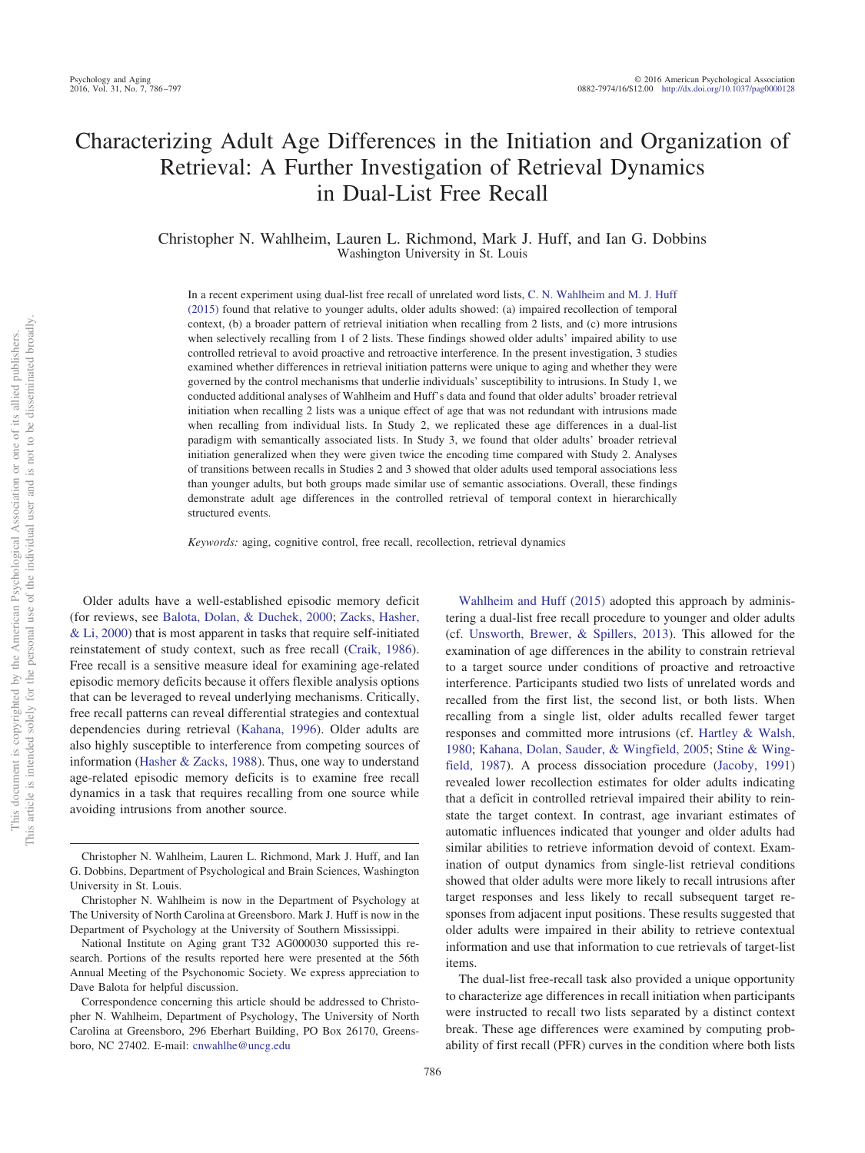# Characterizing Adult Age Differences in the Initiation and Organization of Retrieval: A Further Investigation of Retrieval Dynamics in Dual-List Free Recall

Christopher N. Wahlheim, Lauren L. Richmond, Mark J. Huff, and Ian G. Dobbins Washington University in St. Louis

In a recent experiment using dual-list free recall of unrelated word lists, [C. N. Wahlheim and M. J. Huff](#page-11-0) [\(2015\)](#page-11-0) found that relative to younger adults, older adults showed: (a) impaired recollection of temporal context, (b) a broader pattern of retrieval initiation when recalling from 2 lists, and (c) more intrusions when selectively recalling from 1 of 2 lists. These findings showed older adults' impaired ability to use controlled retrieval to avoid proactive and retroactive interference. In the present investigation, 3 studies examined whether differences in retrieval initiation patterns were unique to aging and whether they were governed by the control mechanisms that underlie individuals' susceptibility to intrusions. In Study 1, we conducted additional analyses of Wahlheim and Huff's data and found that older adults' broader retrieval initiation when recalling 2 lists was a unique effect of age that was not redundant with intrusions made when recalling from individual lists. In Study 2, we replicated these age differences in a dual-list paradigm with semantically associated lists. In Study 3, we found that older adults' broader retrieval initiation generalized when they were given twice the encoding time compared with Study 2. Analyses of transitions between recalls in Studies 2 and 3 showed that older adults used temporal associations less than younger adults, but both groups made similar use of semantic associations. Overall, these findings demonstrate adult age differences in the controlled retrieval of temporal context in hierarchically structured events.

*Keywords:* aging, cognitive control, free recall, recollection, retrieval dynamics

Older adults have a well-established episodic memory deficit (for reviews, see [Balota, Dolan, & Duchek, 2000;](#page-10-0) [Zacks, Hasher,](#page-11-1) [& Li, 2000\)](#page-11-1) that is most apparent in tasks that require self-initiated reinstatement of study context, such as free recall [\(Craik, 1986\)](#page-10-1). Free recall is a sensitive measure ideal for examining age-related episodic memory deficits because it offers flexible analysis options that can be leveraged to reveal underlying mechanisms. Critically, free recall patterns can reveal differential strategies and contextual dependencies during retrieval [\(Kahana, 1996\)](#page-10-2). Older adults are also highly susceptible to interference from competing sources of information [\(Hasher & Zacks, 1988\)](#page-10-3). Thus, one way to understand age-related episodic memory deficits is to examine free recall dynamics in a task that requires recalling from one source while avoiding intrusions from another source.

[Wahlheim and Huff \(2015\)](#page-11-0) adopted this approach by administering a dual-list free recall procedure to younger and older adults (cf. [Unsworth, Brewer, & Spillers, 2013\)](#page-11-2). This allowed for the examination of age differences in the ability to constrain retrieval to a target source under conditions of proactive and retroactive interference. Participants studied two lists of unrelated words and recalled from the first list, the second list, or both lists. When recalling from a single list, older adults recalled fewer target responses and committed more intrusions (cf. [Hartley & Walsh,](#page-10-4) [1980;](#page-10-4) [Kahana, Dolan, Sauder, & Wingfield, 2005;](#page-10-5) [Stine & Wing](#page-11-3)[field, 1987\)](#page-11-3). A process dissociation procedure [\(Jacoby, 1991\)](#page-10-6) revealed lower recollection estimates for older adults indicating that a deficit in controlled retrieval impaired their ability to reinstate the target context. In contrast, age invariant estimates of automatic influences indicated that younger and older adults had similar abilities to retrieve information devoid of context. Examination of output dynamics from single-list retrieval conditions showed that older adults were more likely to recall intrusions after target responses and less likely to recall subsequent target responses from adjacent input positions. These results suggested that older adults were impaired in their ability to retrieve contextual information and use that information to cue retrievals of target-list items.

The dual-list free-recall task also provided a unique opportunity to characterize age differences in recall initiation when participants were instructed to recall two lists separated by a distinct context break. These age differences were examined by computing probability of first recall (PFR) curves in the condition where both lists

Christopher N. Wahlheim, Lauren L. Richmond, Mark J. Huff, and Ian G. Dobbins, Department of Psychological and Brain Sciences, Washington University in St. Louis.

Christopher N. Wahlheim is now in the Department of Psychology at The University of North Carolina at Greensboro. Mark J. Huff is now in the Department of Psychology at the University of Southern Mississippi.

National Institute on Aging grant T32 AG000030 supported this research. Portions of the results reported here were presented at the 56th Annual Meeting of the Psychonomic Society. We express appreciation to Dave Balota for helpful discussion.

Correspondence concerning this article should be addressed to Christopher N. Wahlheim, Department of Psychology, The University of North Carolina at Greensboro, 296 Eberhart Building, PO Box 26170, Greensboro, NC 27402. E-mail: [cnwahlhe@uncg.edu](mailto:cnwahlhe@uncg.edu)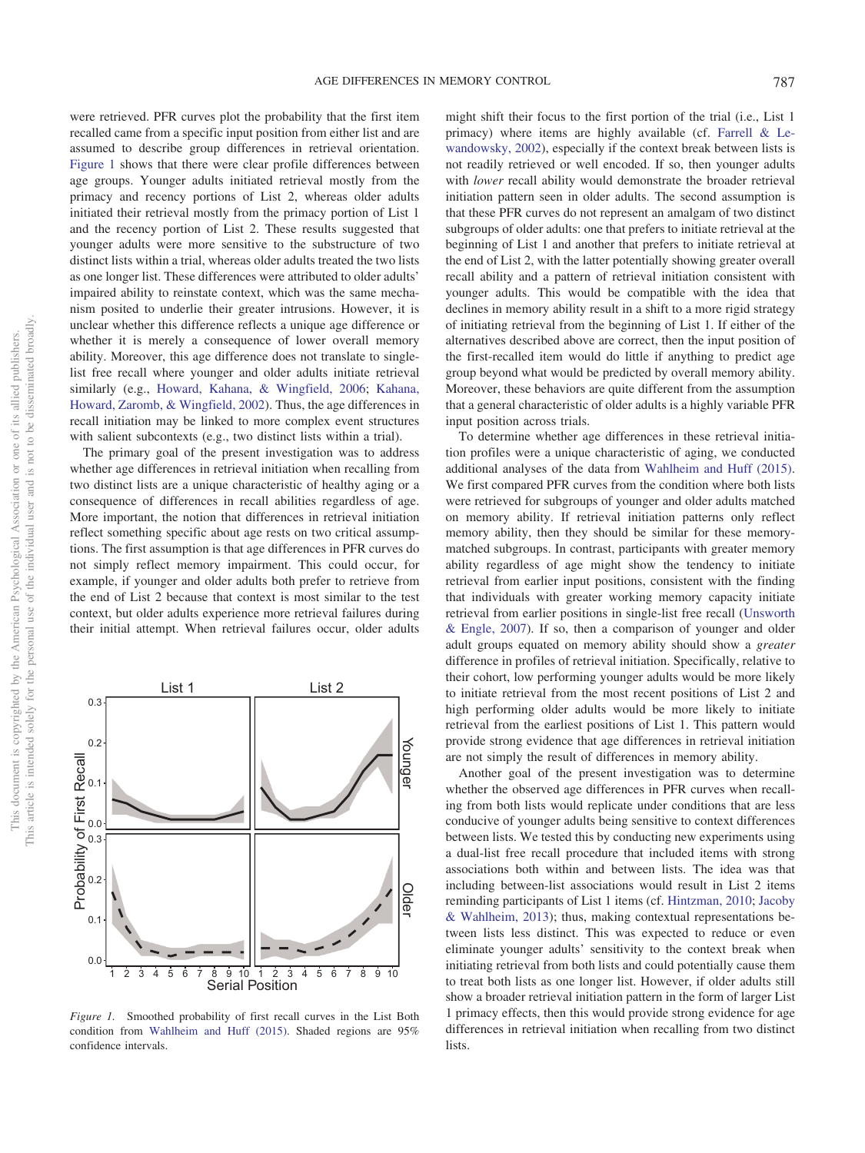were retrieved. PFR curves plot the probability that the first item recalled came from a specific input position from either list and are assumed to describe group differences in retrieval orientation. [Figure 1](#page-1-0) shows that there were clear profile differences between age groups. Younger adults initiated retrieval mostly from the primacy and recency portions of List 2, whereas older adults initiated their retrieval mostly from the primacy portion of List 1 and the recency portion of List 2. These results suggested that younger adults were more sensitive to the substructure of two distinct lists within a trial, whereas older adults treated the two lists as one longer list. These differences were attributed to older adults' impaired ability to reinstate context, which was the same mechanism posited to underlie their greater intrusions. However, it is unclear whether this difference reflects a unique age difference or whether it is merely a consequence of lower overall memory ability. Moreover, this age difference does not translate to singlelist free recall where younger and older adults initiate retrieval similarly (e.g., [Howard, Kahana, & Wingfield, 2006;](#page-10-7) [Kahana,](#page-10-8) [Howard, Zaromb, & Wingfield, 2002\)](#page-10-8). Thus, the age differences in recall initiation may be linked to more complex event structures with salient subcontexts (e.g., two distinct lists within a trial).

The primary goal of the present investigation was to address whether age differences in retrieval initiation when recalling from two distinct lists are a unique characteristic of healthy aging or a consequence of differences in recall abilities regardless of age. More important, the notion that differences in retrieval initiation reflect something specific about age rests on two critical assumptions. The first assumption is that age differences in PFR curves do not simply reflect memory impairment. This could occur, for example, if younger and older adults both prefer to retrieve from the end of List 2 because that context is most similar to the test context, but older adults experience more retrieval failures during their initial attempt. When retrieval failures occur, older adults

might shift their focus to the first portion of the trial (i.e., List 1 primacy) where items are highly available (cf. [Farrell & Le](#page-10-9)[wandowsky, 2002\)](#page-10-9), especially if the context break between lists is not readily retrieved or well encoded. If so, then younger adults with *lower* recall ability would demonstrate the broader retrieval initiation pattern seen in older adults. The second assumption is that these PFR curves do not represent an amalgam of two distinct subgroups of older adults: one that prefers to initiate retrieval at the beginning of List 1 and another that prefers to initiate retrieval at the end of List 2, with the latter potentially showing greater overall recall ability and a pattern of retrieval initiation consistent with younger adults. This would be compatible with the idea that declines in memory ability result in a shift to a more rigid strategy of initiating retrieval from the beginning of List 1. If either of the alternatives described above are correct, then the input position of the first-recalled item would do little if anything to predict age group beyond what would be predicted by overall memory ability. Moreover, these behaviors are quite different from the assumption that a general characteristic of older adults is a highly variable PFR input position across trials.

To determine whether age differences in these retrieval initiation profiles were a unique characteristic of aging, we conducted additional analyses of the data from [Wahlheim and Huff \(2015\).](#page-11-0) We first compared PFR curves from the condition where both lists were retrieved for subgroups of younger and older adults matched on memory ability. If retrieval initiation patterns only reflect memory ability, then they should be similar for these memorymatched subgroups. In contrast, participants with greater memory ability regardless of age might show the tendency to initiate retrieval from earlier input positions, consistent with the finding that individuals with greater working memory capacity initiate retrieval from earlier positions in single-list free recall [\(Unsworth](#page-11-4) [& Engle, 2007\)](#page-11-4). If so, then a comparison of younger and older adult groups equated on memory ability should show a *greater* difference in profiles of retrieval initiation. Specifically, relative to their cohort, low performing younger adults would be more likely to initiate retrieval from the most recent positions of List 2 and high performing older adults would be more likely to initiate retrieval from the earliest positions of List 1. This pattern would provide strong evidence that age differences in retrieval initiation are not simply the result of differences in memory ability.

Another goal of the present investigation was to determine whether the observed age differences in PFR curves when recalling from both lists would replicate under conditions that are less conducive of younger adults being sensitive to context differences between lists. We tested this by conducting new experiments using a dual-list free recall procedure that included items with strong associations both within and between lists. The idea was that including between-list associations would result in List 2 items reminding participants of List 1 items (cf. [Hintzman, 2010;](#page-10-10) [Jacoby](#page-10-11) [& Wahlheim, 2013\)](#page-10-11); thus, making contextual representations between lists less distinct. This was expected to reduce or even eliminate younger adults' sensitivity to the context break when initiating retrieval from both lists and could potentially cause them to treat both lists as one longer list. However, if older adults still show a broader retrieval initiation pattern in the form of larger List 1 primacy effects, then this would provide strong evidence for age differences in retrieval initiation when recalling from two distinct lists.

<span id="page-1-0"></span>*Figure 1.* Smoothed probability of first recall curves in the List Both condition from [Wahlheim and Huff \(2015\).](#page-11-0) Shaded regions are 95% confidence intervals.

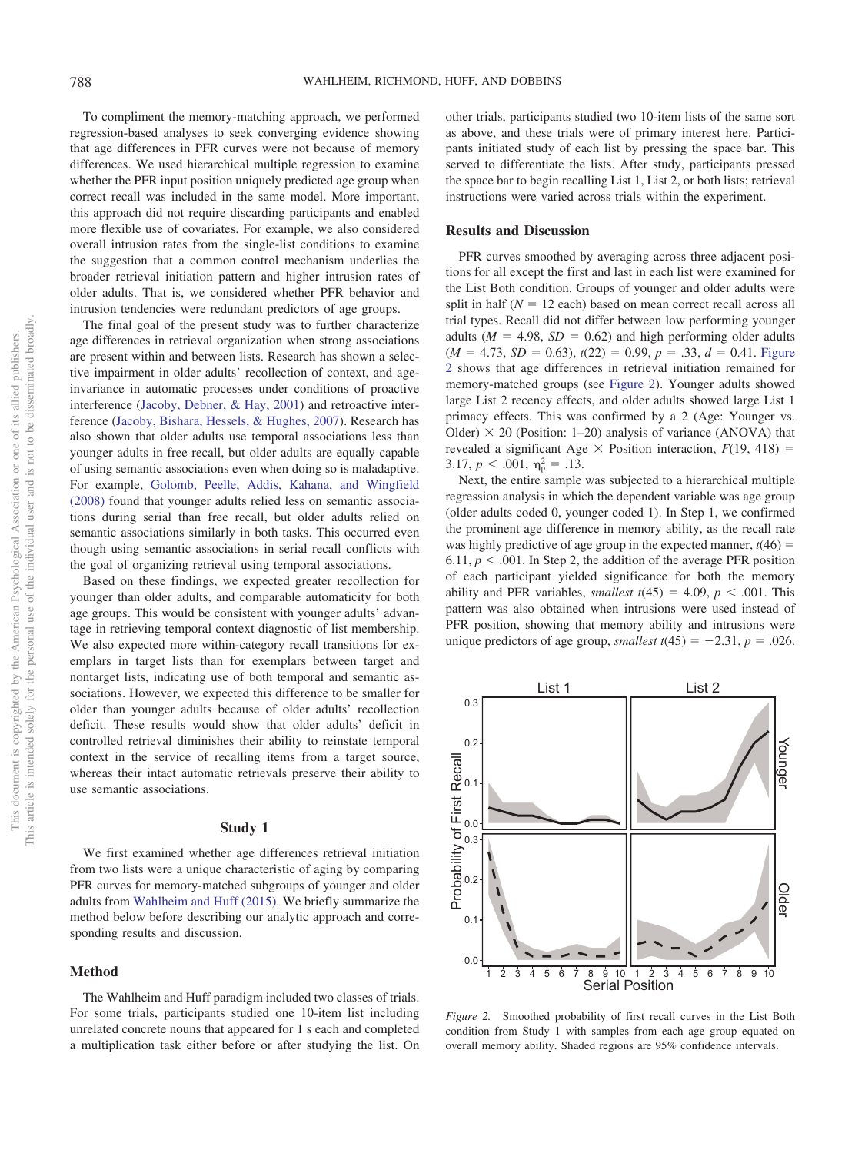To compliment the memory-matching approach, we performed regression-based analyses to seek converging evidence showing that age differences in PFR curves were not because of memory differences. We used hierarchical multiple regression to examine whether the PFR input position uniquely predicted age group when correct recall was included in the same model. More important, this approach did not require discarding participants and enabled more flexible use of covariates. For example, we also considered overall intrusion rates from the single-list conditions to examine the suggestion that a common control mechanism underlies the broader retrieval initiation pattern and higher intrusion rates of older adults. That is, we considered whether PFR behavior and intrusion tendencies were redundant predictors of age groups.

The final goal of the present study was to further characterize age differences in retrieval organization when strong associations are present within and between lists. Research has shown a selective impairment in older adults' recollection of context, and ageinvariance in automatic processes under conditions of proactive interference [\(Jacoby, Debner, & Hay, 2001\)](#page-10-12) and retroactive interference [\(Jacoby, Bishara, Hessels, & Hughes, 2007\)](#page-10-13). Research has also shown that older adults use temporal associations less than younger adults in free recall, but older adults are equally capable of using semantic associations even when doing so is maladaptive. For example, [Golomb, Peelle, Addis, Kahana, and Wingfield](#page-10-14) [\(2008\)](#page-10-14) found that younger adults relied less on semantic associations during serial than free recall, but older adults relied on semantic associations similarly in both tasks. This occurred even though using semantic associations in serial recall conflicts with the goal of organizing retrieval using temporal associations.

Based on these findings, we expected greater recollection for younger than older adults, and comparable automaticity for both age groups. This would be consistent with younger adults' advantage in retrieving temporal context diagnostic of list membership. We also expected more within-category recall transitions for exemplars in target lists than for exemplars between target and nontarget lists, indicating use of both temporal and semantic associations. However, we expected this difference to be smaller for older than younger adults because of older adults' recollection deficit. These results would show that older adults' deficit in controlled retrieval diminishes their ability to reinstate temporal context in the service of recalling items from a target source, whereas their intact automatic retrievals preserve their ability to use semantic associations.

#### **Study 1**

We first examined whether age differences retrieval initiation from two lists were a unique characteristic of aging by comparing PFR curves for memory-matched subgroups of younger and older adults from [Wahlheim and Huff \(2015\).](#page-11-0) We briefly summarize the method below before describing our analytic approach and corresponding results and discussion.

# **Method**

The Wahlheim and Huff paradigm included two classes of trials. For some trials, participants studied one 10-item list including unrelated concrete nouns that appeared for 1 s each and completed a multiplication task either before or after studying the list. On other trials, participants studied two 10-item lists of the same sort as above, and these trials were of primary interest here. Participants initiated study of each list by pressing the space bar. This served to differentiate the lists. After study, participants pressed the space bar to begin recalling List 1, List 2, or both lists; retrieval instructions were varied across trials within the experiment.

# **Results and Discussion**

PFR curves smoothed by averaging across three adjacent positions for all except the first and last in each list were examined for the List Both condition. Groups of younger and older adults were split in half  $(N = 12 \text{ each})$  based on mean correct recall across all trial types. Recall did not differ between low performing younger adults  $(M = 4.98, SD = 0.62)$  and high performing older adults  $(M = 4.73, SD = 0.63), t(22) = 0.99, p = .33, d = 0.41$ . [Figure](#page-2-0) [2](#page-2-0) shows that age differences in retrieval initiation remained for memory-matched groups (see [Figure 2\)](#page-2-0). Younger adults showed large List 2 recency effects, and older adults showed large List 1 primacy effects. This was confirmed by a 2 (Age: Younger vs. Older)  $\times$  20 (Position: 1–20) analysis of variance (ANOVA) that revealed a significant Age  $\times$  Position interaction,  $F(19, 418) =$ 3.17,  $p < .001$ ,  $\eta_p^2 = .13$ .

Next, the entire sample was subjected to a hierarchical multiple regression analysis in which the dependent variable was age group (older adults coded 0, younger coded 1). In Step 1, we confirmed the prominent age difference in memory ability, as the recall rate was highly predictive of age group in the expected manner,  $t(46)$  = 6.11,  $p < .001$ . In Step 2, the addition of the average PFR position of each participant yielded significance for both the memory ability and PFR variables, *smallest*  $t(45) = 4.09$ ,  $p < .001$ . This pattern was also obtained when intrusions were used instead of PFR position, showing that memory ability and intrusions were unique predictors of age group, *smallest*  $t(45) = -2.31$ ,  $p = .026$ .



<span id="page-2-0"></span>*Figure 2.* Smoothed probability of first recall curves in the List Both condition from Study 1 with samples from each age group equated on overall memory ability. Shaded regions are 95% confidence intervals.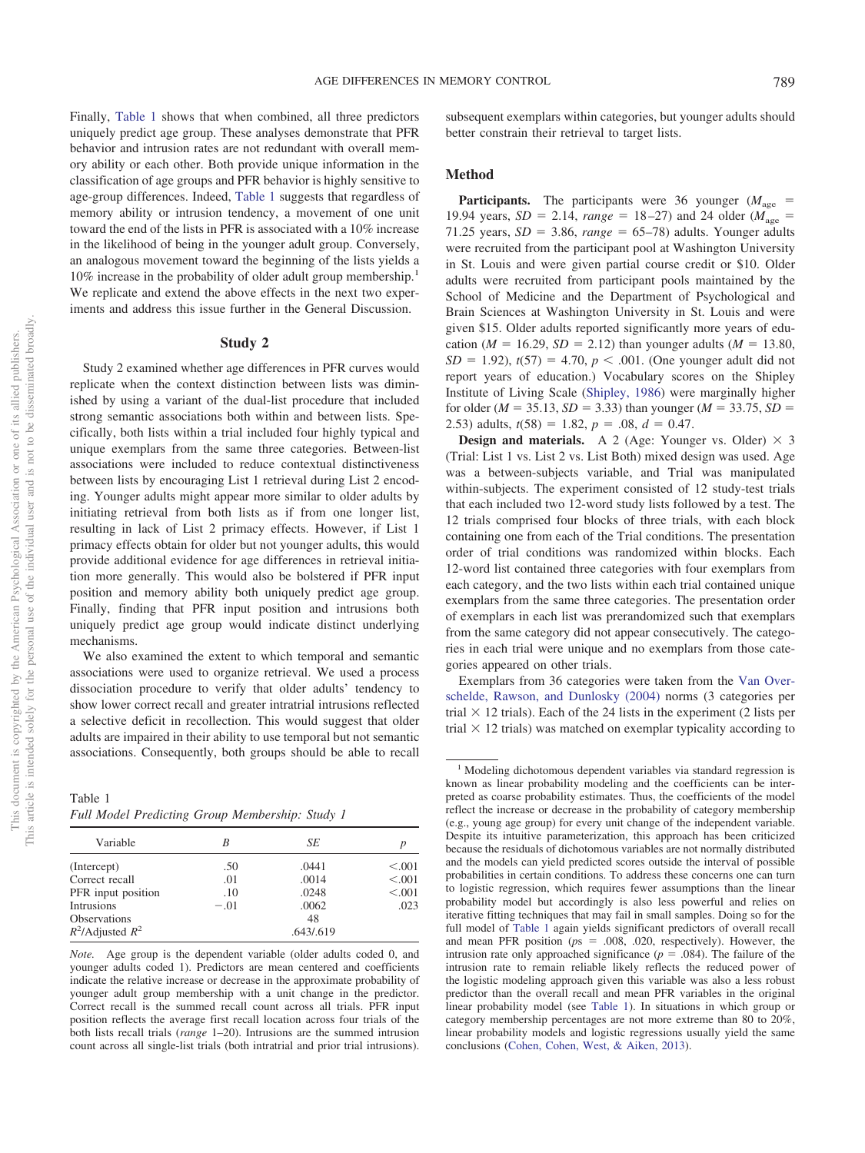Finally, [Table 1](#page-3-0) shows that when combined, all three predictors uniquely predict age group. These analyses demonstrate that PFR behavior and intrusion rates are not redundant with overall memory ability or each other. Both provide unique information in the classification of age groups and PFR behavior is highly sensitive to age-group differences. Indeed, [Table 1](#page-3-0) suggests that regardless of memory ability or intrusion tendency, a movement of one unit toward the end of the lists in PFR is associated with a 10% increase in the likelihood of being in the younger adult group. Conversely, an analogous movement toward the beginning of the lists yields a 10% increase in the probability of older adult group membership.1 We replicate and extend the above effects in the next two experiments and address this issue further in the General Discussion.

### **Study 2**

Study 2 examined whether age differences in PFR curves would replicate when the context distinction between lists was diminished by using a variant of the dual-list procedure that included strong semantic associations both within and between lists. Specifically, both lists within a trial included four highly typical and unique exemplars from the same three categories. Between-list associations were included to reduce contextual distinctiveness between lists by encouraging List 1 retrieval during List 2 encoding. Younger adults might appear more similar to older adults by initiating retrieval from both lists as if from one longer list, resulting in lack of List 2 primacy effects. However, if List 1 primacy effects obtain for older but not younger adults, this would provide additional evidence for age differences in retrieval initiation more generally. This would also be bolstered if PFR input position and memory ability both uniquely predict age group. Finally, finding that PFR input position and intrusions both uniquely predict age group would indicate distinct underlying mechanisms.

We also examined the extent to which temporal and semantic associations were used to organize retrieval. We used a process dissociation procedure to verify that older adults' tendency to show lower correct recall and greater intratrial intrusions reflected a selective deficit in recollection. This would suggest that older adults are impaired in their ability to use temporal but not semantic associations. Consequently, both groups should be able to recall

<span id="page-3-0"></span>

| Table 1 |  |                                                 |  |
|---------|--|-------------------------------------------------|--|
|         |  | Full Model Predicting Group Membership: Study 1 |  |

| Variable              | R      | SЕ        |         |
|-----------------------|--------|-----------|---------|
| (Intercept)           | .50    | .0441     | < 0.001 |
| Correct recall        | .01    | .0014     | < 0.001 |
| PFR input position    | .10    | .0248     | < 0.001 |
| <b>Intrusions</b>     | $-.01$ | .0062     | .023    |
| <b>Observations</b>   |        | 48        |         |
| $R^2$ /Adjusted $R^2$ |        | .643/.619 |         |

*Note.* Age group is the dependent variable (older adults coded 0, and younger adults coded 1). Predictors are mean centered and coefficients indicate the relative increase or decrease in the approximate probability of younger adult group membership with a unit change in the predictor. Correct recall is the summed recall count across all trials. PFR input position reflects the average first recall location across four trials of the both lists recall trials (*range* 1–20). Intrusions are the summed intrusion count across all single-list trials (both intratrial and prior trial intrusions).

subsequent exemplars within categories, but younger adults should better constrain their retrieval to target lists.

# **Method**

**Participants.** The participants were 36 younger ( $M_{\text{age}}$  = 19.94 years,  $SD = 2.14$ ,  $range = 18-27$ ) and 24 older ( $M_{\text{age}} =$ 71.25 years,  $SD = 3.86$ ,  $range = 65-78$ ) adults. Younger adults were recruited from the participant pool at Washington University in St. Louis and were given partial course credit or \$10. Older adults were recruited from participant pools maintained by the School of Medicine and the Department of Psychological and Brain Sciences at Washington University in St. Louis and were given \$15. Older adults reported significantly more years of education ( $M = 16.29$ ,  $SD = 2.12$ ) than younger adults ( $M = 13.80$ ,  $SD = 1.92$ ),  $t(57) = 4.70$ ,  $p < .001$ . (One younger adult did not report years of education.) Vocabulary scores on the Shipley Institute of Living Scale [\(Shipley, 1986\)](#page-11-5) were marginally higher for older ( $M = 35.13$ ,  $SD = 3.33$ ) than younger ( $M = 33.75$ ,  $SD =$ 2.53) adults,  $t(58) = 1.82$ ,  $p = .08$ ,  $d = 0.47$ .

**Design and materials.** A 2 (Age: Younger vs. Older)  $\times$  3 (Trial: List 1 vs. List 2 vs. List Both) mixed design was used. Age was a between-subjects variable, and Trial was manipulated within-subjects. The experiment consisted of 12 study-test trials that each included two 12-word study lists followed by a test. The 12 trials comprised four blocks of three trials, with each block containing one from each of the Trial conditions. The presentation order of trial conditions was randomized within blocks. Each 12-word list contained three categories with four exemplars from each category, and the two lists within each trial contained unique exemplars from the same three categories. The presentation order of exemplars in each list was prerandomized such that exemplars from the same category did not appear consecutively. The categories in each trial were unique and no exemplars from those categories appeared on other trials.

Exemplars from 36 categories were taken from the [Van Over](#page-11-6)[schelde, Rawson, and Dunlosky \(2004\)](#page-11-6) norms (3 categories per trial  $\times$  12 trials). Each of the 24 lists in the experiment (2 lists per trial  $\times$  12 trials) was matched on exemplar typicality according to

<sup>&</sup>lt;sup>1</sup> Modeling dichotomous dependent variables via standard regression is known as linear probability modeling and the coefficients can be interpreted as coarse probability estimates. Thus, the coefficients of the model reflect the increase or decrease in the probability of category membership (e.g., young age group) for every unit change of the independent variable. Despite its intuitive parameterization, this approach has been criticized because the residuals of dichotomous variables are not normally distributed and the models can yield predicted scores outside the interval of possible probabilities in certain conditions. To address these concerns one can turn to logistic regression, which requires fewer assumptions than the linear probability model but accordingly is also less powerful and relies on iterative fitting techniques that may fail in small samples. Doing so for the full model of [Table 1](#page-3-0) again yields significant predictors of overall recall and mean PFR position  $(p_s = .008, .020,$  respectively). However, the intrusion rate only approached significance  $(p = .084)$ . The failure of the intrusion rate to remain reliable likely reflects the reduced power of the logistic modeling approach given this variable was also a less robust predictor than the overall recall and mean PFR variables in the original linear probability model (see [Table 1\)](#page-3-0). In situations in which group or category membership percentages are not more extreme than 80 to 20%, linear probability models and logistic regressions usually yield the same conclusions [\(Cohen, Cohen, West, & Aiken, 2013\)](#page-10-15).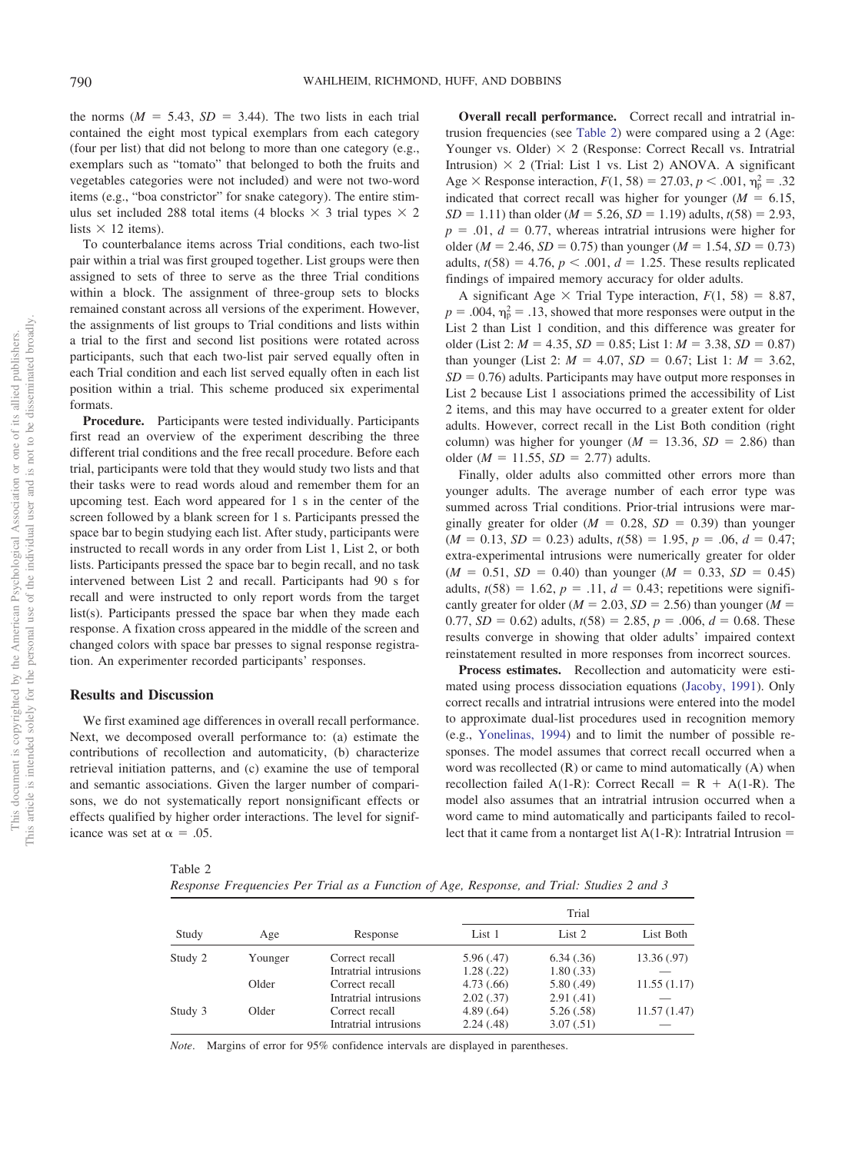the norms  $(M = 5.43, SD = 3.44)$ . The two lists in each trial contained the eight most typical exemplars from each category (four per list) that did not belong to more than one category (e.g., exemplars such as "tomato" that belonged to both the fruits and vegetables categories were not included) and were not two-word items (e.g., "boa constrictor" for snake category). The entire stimulus set included 288 total items (4 blocks  $\times$  3 trial types  $\times$  2 lists  $\times$  12 items).

To counterbalance items across Trial conditions, each two-list pair within a trial was first grouped together. List groups were then assigned to sets of three to serve as the three Trial conditions within a block. The assignment of three-group sets to blocks remained constant across all versions of the experiment. However, the assignments of list groups to Trial conditions and lists within a trial to the first and second list positions were rotated across participants, such that each two-list pair served equally often in each Trial condition and each list served equally often in each list position within a trial. This scheme produced six experimental formats.

**Procedure.** Participants were tested individually. Participants first read an overview of the experiment describing the three different trial conditions and the free recall procedure. Before each trial, participants were told that they would study two lists and that their tasks were to read words aloud and remember them for an upcoming test. Each word appeared for 1 s in the center of the screen followed by a blank screen for 1 s. Participants pressed the space bar to begin studying each list. After study, participants were instructed to recall words in any order from List 1, List 2, or both lists. Participants pressed the space bar to begin recall, and no task intervened between List 2 and recall. Participants had 90 s for recall and were instructed to only report words from the target list(s). Participants pressed the space bar when they made each response. A fixation cross appeared in the middle of the screen and changed colors with space bar presses to signal response registration. An experimenter recorded participants' responses.

### **Results and Discussion**

We first examined age differences in overall recall performance. Next, we decomposed overall performance to: (a) estimate the contributions of recollection and automaticity, (b) characterize retrieval initiation patterns, and (c) examine the use of temporal and semantic associations. Given the larger number of comparisons, we do not systematically report nonsignificant effects or effects qualified by higher order interactions. The level for significance was set at  $\alpha = .05$ .

**Overall recall performance.** Correct recall and intratrial intrusion frequencies (see [Table 2\)](#page-4-0) were compared using a 2 (Age: Younger vs. Older)  $\times$  2 (Response: Correct Recall vs. Intratrial Intrusion)  $\times$  2 (Trial: List 1 vs. List 2) ANOVA. A significant Age  $\times$  Response interaction,  $F(1, 58) = 27.03, p < .001, \eta_{\rm p}^2 = .32$ indicated that correct recall was higher for younger  $(M = 6.15,$  $SD = 1.11$ ) than older (*M* = 5.26, *SD* = 1.19) adults, *t*(58) = 2.93,  $p = .01, d = 0.77$ , whereas intratrial intrusions were higher for older ( $M = 2.46$ ,  $SD = 0.75$ ) than younger ( $M = 1.54$ ,  $SD = 0.73$ ) adults,  $t(58) = 4.76$ ,  $p < .001$ ,  $d = 1.25$ . These results replicated findings of impaired memory accuracy for older adults.

A significant Age  $\times$  Trial Type interaction,  $F(1, 58) = 8.87$ ,  $p = 0.004$ ,  $\eta_p^2 = 0.13$ , showed that more responses were output in the List 2 than List 1 condition, and this difference was greater for older (List 2:  $M = 4.35$ ,  $SD = 0.85$ ; List 1:  $M = 3.38$ ,  $SD = 0.87$ ) than younger (List 2:  $M = 4.07$ ,  $SD = 0.67$ ; List 1:  $M = 3.62$ ,  $SD = 0.76$ ) adults. Participants may have output more responses in List 2 because List 1 associations primed the accessibility of List 2 items, and this may have occurred to a greater extent for older adults. However, correct recall in the List Both condition (right column) was higher for younger  $(M = 13.36, SD = 2.86)$  than older ( $M = 11.55$ ,  $SD = 2.77$ ) adults.

Finally, older adults also committed other errors more than younger adults. The average number of each error type was summed across Trial conditions. Prior-trial intrusions were marginally greater for older  $(M = 0.28, SD = 0.39)$  than younger  $(M = 0.13, SD = 0.23)$  adults,  $t(58) = 1.95, p = .06, d = 0.47;$ extra-experimental intrusions were numerically greater for older  $(M = 0.51, SD = 0.40)$  than younger  $(M = 0.33, SD = 0.45)$ adults,  $t(58) = 1.62$ ,  $p = .11$ ,  $d = 0.43$ ; repetitions were significantly greater for older ( $M = 2.03$ ,  $SD = 2.56$ ) than younger ( $M =$ 0.77,  $SD = 0.62$ ) adults,  $t(58) = 2.85$ ,  $p = .006$ ,  $d = 0.68$ . These results converge in showing that older adults' impaired context reinstatement resulted in more responses from incorrect sources.

**Process estimates.** Recollection and automaticity were estimated using process dissociation equations [\(Jacoby, 1991\)](#page-10-6). Only correct recalls and intratrial intrusions were entered into the model to approximate dual-list procedures used in recognition memory (e.g., [Yonelinas, 1994\)](#page-11-7) and to limit the number of possible responses. The model assumes that correct recall occurred when a word was recollected (R) or came to mind automatically (A) when recollection failed A(1-R): Correct Recall =  $R + A(1-R)$ . The model also assumes that an intratrial intrusion occurred when a word came to mind automatically and participants failed to recollect that it came from a nontarget list  $A(1-R)$ : Intratrial Intrusion =

<span id="page-4-0"></span>

| v.<br>٠<br>. . | ٠<br>× |  |
|----------------|--------|--|
|                |        |  |

|         |         |                                         |                         | Trial                  |             |
|---------|---------|-----------------------------------------|-------------------------|------------------------|-------------|
| Study   | Age     | Response                                | List 1                  | List 2                 | List Both   |
| Study 2 | Younger | Correct recall                          | 5.96(.47)               | 6.34(0.36)             | 13.36(.97)  |
|         | Older   | Intratrial intrusions<br>Correct recall | 1.28(.22)<br>4.73(0.66) | 1.80(.33)<br>5.80(.49) | 11.55(1.17) |
|         |         | Intratrial intrusions                   | 2.02(.37)               | 2.91(.41)              |             |
| Study 3 | Older   | Correct recall                          | 4.89(.64)               | 5.26(.58)              | 11.57(1.47) |
|         |         | Intratrial intrusions                   | 2.24(0.48)              | 3.07(.51)              |             |

*Note*. Margins of error for 95% confidence intervals are displayed in parentheses.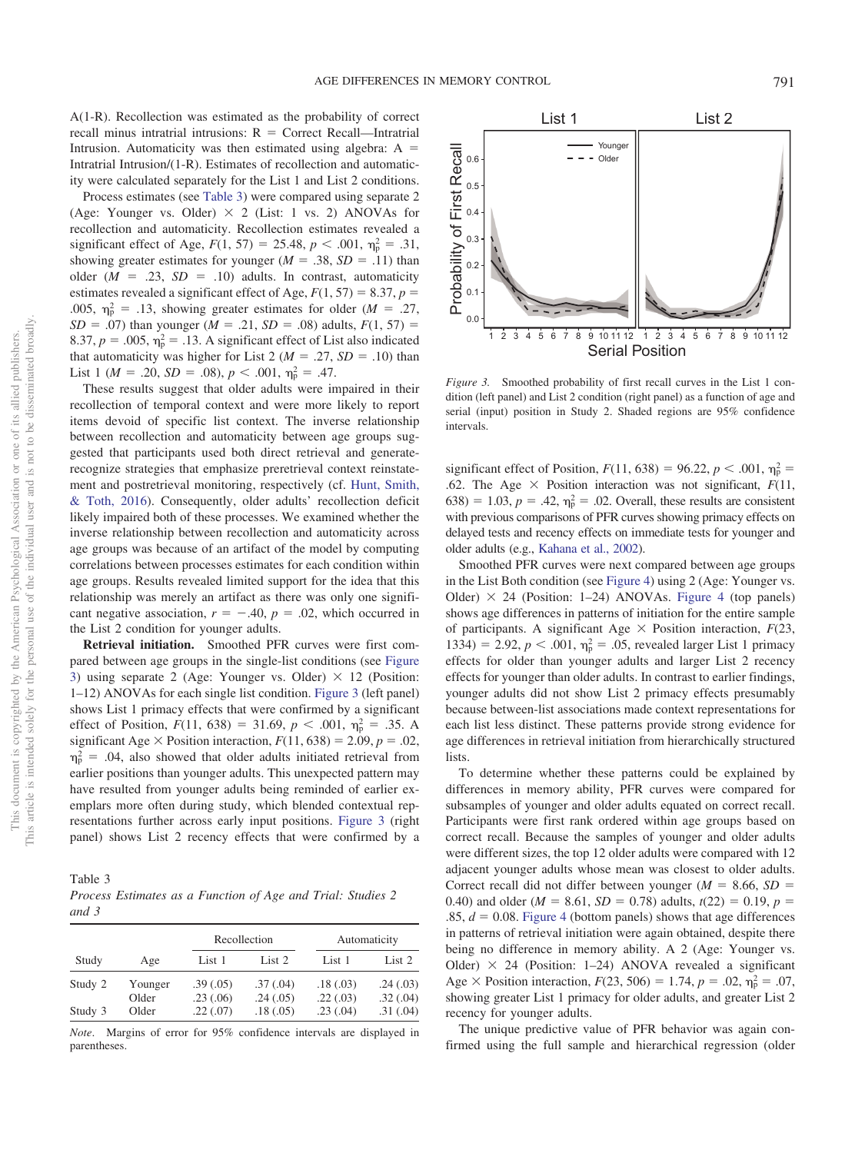A(1-R). Recollection was estimated as the probability of correct recall minus intratrial intrusions:  $R =$  Correct Recall—Intratrial Intrusion. Automaticity was then estimated using algebra:  $A =$ Intratrial Intrusion/(1-R). Estimates of recollection and automaticity were calculated separately for the List 1 and List 2 conditions.

Process estimates (see [Table 3\)](#page-5-0) were compared using separate 2 (Age: Younger vs. Older)  $\times$  2 (List: 1 vs. 2) ANOVAs for recollection and automaticity. Recollection estimates revealed a significant effect of Age,  $F(1, 57) = 25.48$ ,  $p < .001$ ,  $\eta_p^2 = .31$ , showing greater estimates for younger  $(M = .38, SD = .11)$  than older  $(M = .23, SD = .10)$  adults. In contrast, automaticity estimates revealed a significant effect of Age,  $F(1, 57) = 8.37$ ,  $p =$ .005,  $\eta_p^2 = .13$ , showing greater estimates for older (*M* = .27,  $SD = .07$ ) than younger (*M* = .21, *SD* = .08) adults,  $F(1, 57) =$ 8.37,  $p = .005$ ,  $\eta_p^2 = .13$ . A significant effect of List also indicated that automaticity was higher for List  $2 (M = .27, SD = .10)$  than List 1 ( $M = .20$ ,  $SD = .08$ ),  $p < .001$ ,  $\eta_p^2 = .47$ .

These results suggest that older adults were impaired in their recollection of temporal context and were more likely to report items devoid of specific list context. The inverse relationship between recollection and automaticity between age groups suggested that participants used both direct retrieval and generaterecognize strategies that emphasize preretrieval context reinstatement and postretrieval monitoring, respectively (cf. [Hunt, Smith,](#page-10-16) [& Toth, 2016\)](#page-10-16). Consequently, older adults' recollection deficit likely impaired both of these processes. We examined whether the inverse relationship between recollection and automaticity across age groups was because of an artifact of the model by computing correlations between processes estimates for each condition within age groups. Results revealed limited support for the idea that this relationship was merely an artifact as there was only one significant negative association,  $r = -.40$ ,  $p = .02$ , which occurred in the List 2 condition for younger adults.

**Retrieval initiation.** Smoothed PFR curves were first compared between age groups in the single-list conditions (see [Figure](#page-5-1) [3\)](#page-5-1) using separate 2 (Age: Younger vs. Older)  $\times$  12 (Position: 1–12) ANOVAs for each single list condition. [Figure 3](#page-5-1) (left panel) shows List 1 primacy effects that were confirmed by a significant effect of Position,  $F(11, 638) = 31.69$ ,  $p < .001$ ,  $\eta_p^2 = .35$ . A significant Age  $\times$  Position interaction,  $F(11, 638) = 2.09$ ,  $p = .02$ ,  $\eta_{\rm p}^2$  = .04, also showed that older adults initiated retrieval from earlier positions than younger adults. This unexpected pattern may have resulted from younger adults being reminded of earlier exemplars more often during study, which blended contextual representations further across early input positions. [Figure 3](#page-5-1) (right panel) shows List 2 recency effects that were confirmed by a

<span id="page-5-0"></span>Table 3 *Process Estimates as a Function of Age and Trial: Studies 2 and 3*

|         |         |          | Recollection |          | Automaticity |  |
|---------|---------|----------|--------------|----------|--------------|--|
| Study   | Age     | List 1   | List 2       | List 1   | List 2       |  |
| Study 2 | Younger | .39(.05) | .37(.04)     | .18(.03) | .24(.03)     |  |
|         | Older   | .23(.06) | .24(.05)     | .22(.03) | .32(.04)     |  |
| Study 3 | Older   | .22(.07) | .18(.05)     | .23(.04) | .31(.04)     |  |

*Note*. Margins of error for 95% confidence intervals are displayed in parentheses.

 $0<sup>0</sup>$ 0.1 0.2 0.3 0.4 0.5 1 2 3 4 5 6 7 8 9 10 11 12 1 2 3 4 5 6 7 8 9 10 11 12 Serial Position

<span id="page-5-1"></span>*Figure 3.* Smoothed probability of first recall curves in the List 1 condition (left panel) and List 2 condition (right panel) as a function of age and serial (input) position in Study 2. Shaded regions are 95% confidence intervals.

significant effect of Position,  $F(11, 638) = 96.22, p < .001, \eta_p^2 =$ .62. The Age  $\times$  Position interaction was not significant,  $F(11, 1)$ 638) = 1.03,  $p = .42$ ,  $\eta_p^2 = .02$ . Overall, these results are consistent with previous comparisons of PFR curves showing primacy effects on delayed tests and recency effects on immediate tests for younger and older adults (e.g., [Kahana et al., 2002\)](#page-10-8).

Smoothed PFR curves were next compared between age groups in the List Both condition (see [Figure 4\)](#page-6-0) using 2 (Age: Younger vs. Older)  $\times$  24 (Position: 1–24) ANOVAs. [Figure 4](#page-6-0) (top panels) shows age differences in patterns of initiation for the entire sample of participants. A significant Age  $\times$  Position interaction,  $F(23, 12)$ 1334) = 2.92,  $p < .001$ ,  $\eta_p^2 = .05$ , revealed larger List 1 primacy effects for older than younger adults and larger List 2 recency effects for younger than older adults. In contrast to earlier findings, younger adults did not show List 2 primacy effects presumably because between-list associations made context representations for each list less distinct. These patterns provide strong evidence for age differences in retrieval initiation from hierarchically structured **lists**.

To determine whether these patterns could be explained by differences in memory ability, PFR curves were compared for subsamples of younger and older adults equated on correct recall. Participants were first rank ordered within age groups based on correct recall. Because the samples of younger and older adults were different sizes, the top 12 older adults were compared with 12 adjacent younger adults whose mean was closest to older adults. Correct recall did not differ between younger ( $M = 8.66$ ,  $SD =$ 0.40) and older ( $M = 8.61$ ,  $SD = 0.78$ ) adults,  $t(22) = 0.19$ ,  $p =$  $.85, d = 0.08$ . [Figure 4](#page-6-0) (bottom panels) shows that age differences in patterns of retrieval initiation were again obtained, despite there being no difference in memory ability. A 2 (Age: Younger vs. Older)  $\times$  24 (Position: 1–24) ANOVA revealed a significant Age  $\times$  Position interaction,  $F(23, 506) = 1.74$ ,  $p = .02$ ,  $\eta_p^2 = .07$ , showing greater List 1 primacy for older adults, and greater List 2 recency for younger adults.

The unique predictive value of PFR behavior was again confirmed using the full sample and hierarchical regression (older

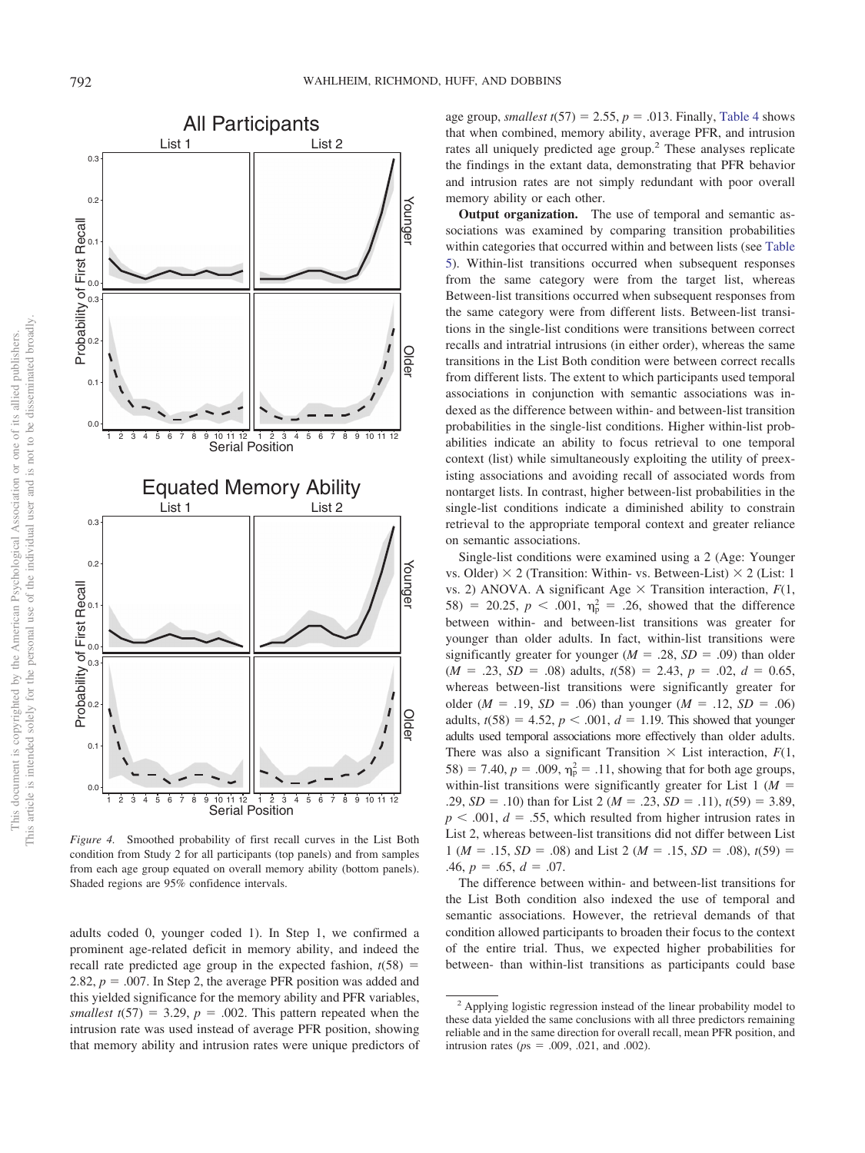

<span id="page-6-0"></span>*Figure 4.* Smoothed probability of first recall curves in the List Both condition from Study 2 for all participants (top panels) and from samples from each age group equated on overall memory ability (bottom panels). Shaded regions are 95% confidence intervals.

adults coded 0, younger coded 1). In Step 1, we confirmed a prominent age-related deficit in memory ability, and indeed the recall rate predicted age group in the expected fashion,  $t(58)$  = 2.82,  $p = 0.007$ . In Step 2, the average PFR position was added and this yielded significance for the memory ability and PFR variables, *smallest t*(57) = 3.29,  $p = .002$ . This pattern repeated when the intrusion rate was used instead of average PFR position, showing that memory ability and intrusion rates were unique predictors of

age group, *smallest*  $t(57) = 2.55$ ,  $p = .013$ . Finally, [Table 4](#page-7-0) shows that when combined, memory ability, average PFR, and intrusion rates all uniquely predicted age group.<sup>2</sup> These analyses replicate the findings in the extant data, demonstrating that PFR behavior and intrusion rates are not simply redundant with poor overall memory ability or each other.

**Output organization.** The use of temporal and semantic associations was examined by comparing transition probabilities within categories that occurred within and between lists (see [Table](#page-7-1) [5\)](#page-7-1). Within-list transitions occurred when subsequent responses from the same category were from the target list, whereas Between-list transitions occurred when subsequent responses from the same category were from different lists. Between-list transitions in the single-list conditions were transitions between correct recalls and intratrial intrusions (in either order), whereas the same transitions in the List Both condition were between correct recalls from different lists. The extent to which participants used temporal associations in conjunction with semantic associations was indexed as the difference between within- and between-list transition probabilities in the single-list conditions. Higher within-list probabilities indicate an ability to focus retrieval to one temporal context (list) while simultaneously exploiting the utility of preexisting associations and avoiding recall of associated words from nontarget lists. In contrast, higher between-list probabilities in the single-list conditions indicate a diminished ability to constrain retrieval to the appropriate temporal context and greater reliance on semantic associations.

Single-list conditions were examined using a 2 (Age: Younger vs. Older)  $\times$  2 (Transition: Within- vs. Between-List)  $\times$  2 (List: 1 vs. 2) ANOVA. A significant Age  $\times$  Transition interaction,  $F(1,$ 58) = 20.25,  $p < .001$ ,  $\eta_{\rm p}^2 = .26$ , showed that the difference between within- and between-list transitions was greater for younger than older adults. In fact, within-list transitions were significantly greater for younger  $(M = .28, SD = .09)$  than older  $(M = .23, SD = .08)$  adults,  $t(58) = 2.43, p = .02, d = 0.65$ , whereas between-list transitions were significantly greater for older ( $M = .19$ ,  $SD = .06$ ) than younger ( $M = .12$ ,  $SD = .06$ ) adults,  $t(58) = 4.52$ ,  $p < .001$ ,  $d = 1.19$ . This showed that younger adults used temporal associations more effectively than older adults. There was also a significant Transition  $\times$  List interaction,  $F(1)$ , 58) = 7.40,  $p = .009$ ,  $\eta_p^2 = .11$ , showing that for both age groups, within-list transitions were significantly greater for List  $1 \, (M =$ .29,  $SD = .10$ ) than for List 2 ( $M = .23$ ,  $SD = .11$ ),  $t(59) = 3.89$ ,  $p < .001$ ,  $d = .55$ , which resulted from higher intrusion rates in List 2, whereas between-list transitions did not differ between List 1 ( $M = .15$ ,  $SD = .08$ ) and List 2 ( $M = .15$ ,  $SD = .08$ ),  $t(59) =$  $.46, p = .65, d = .07.$ 

The difference between within- and between-list transitions for the List Both condition also indexed the use of temporal and semantic associations. However, the retrieval demands of that condition allowed participants to broaden their focus to the context of the entire trial. Thus, we expected higher probabilities for between- than within-list transitions as participants could base

<sup>2</sup> Applying logistic regression instead of the linear probability model to these data yielded the same conclusions with all three predictors remaining reliable and in the same direction for overall recall, mean PFR position, and intrusion rates ( $ps = .009, .021,$  and  $.002$ ).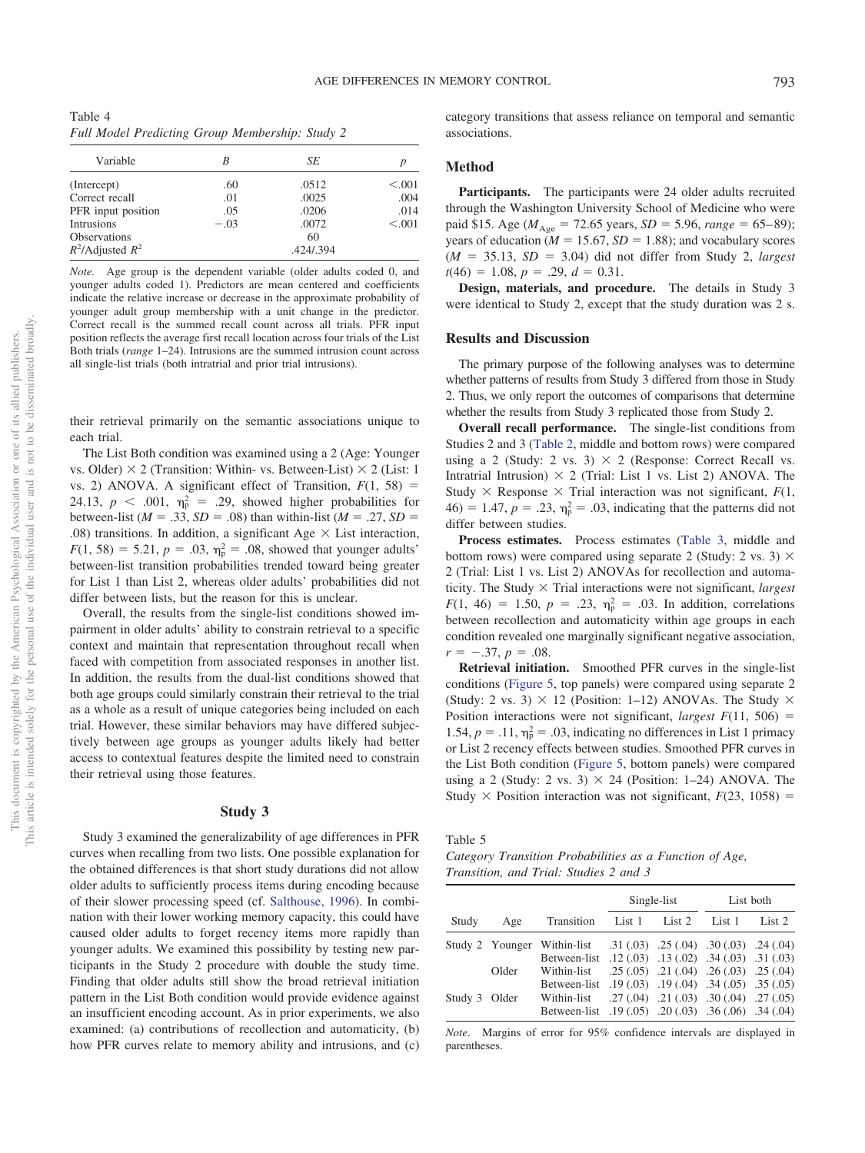<span id="page-7-0"></span>Table 4 *Full Model Predicting Group Membership: Study 2*

| Variable              | R      | SE        | p       |
|-----------------------|--------|-----------|---------|
| (Intercept)           | .60    | .0512     | < 0.001 |
| Correct recall        | .01    | .0025     | .004    |
| PFR input position    | .05    | .0206     | .014    |
| Intrusions            | $-.03$ | .0072     | < 0.001 |
| <b>Observations</b>   |        | 60        |         |
| $R^2$ /Adjusted $R^2$ |        | .424/.394 |         |

*Note.* Age group is the dependent variable (older adults coded 0, and younger adults coded 1). Predictors are mean centered and coefficients indicate the relative increase or decrease in the approximate probability of younger adult group membership with a unit change in the predictor. Correct recall is the summed recall count across all trials. PFR input position reflects the average first recall location across four trials of the List Both trials (*range* 1–24). Intrusions are the summed intrusion count across all single-list trials (both intratrial and prior trial intrusions).

their retrieval primarily on the semantic associations unique to each trial.

The List Both condition was examined using a 2 (Age: Younger vs. Older)  $\times$  2 (Transition: Within- vs. Between-List)  $\times$  2 (List: 1) vs. 2) ANOVA. A significant effect of Transition,  $F(1, 58) =$ 24.13,  $p < .001$ ,  $\eta_p^2 = .29$ , showed higher probabilities for between-list ( $M = .33$ ,  $SD = .08$ ) than within-list ( $M = .27$ ,  $SD =$ .08) transitions. In addition, a significant Age  $\times$  List interaction,  $F(1, 58) = 5.21, p = .03, \eta_p^2 = .08$ , showed that younger adults' between-list transition probabilities trended toward being greater for List 1 than List 2, whereas older adults' probabilities did not differ between lists, but the reason for this is unclear.

Overall, the results from the single-list conditions showed impairment in older adults' ability to constrain retrieval to a specific context and maintain that representation throughout recall when faced with competition from associated responses in another list. In addition, the results from the dual-list conditions showed that both age groups could similarly constrain their retrieval to the trial as a whole as a result of unique categories being included on each trial. However, these similar behaviors may have differed subjectively between age groups as younger adults likely had better access to contextual features despite the limited need to constrain their retrieval using those features.

#### **Study 3**

Study 3 examined the generalizability of age differences in PFR curves when recalling from two lists. One possible explanation for the obtained differences is that short study durations did not allow older adults to sufficiently process items during encoding because of their slower processing speed (cf. [Salthouse, 1996\)](#page-11-8). In combination with their lower working memory capacity, this could have caused older adults to forget recency items more rapidly than younger adults. We examined this possibility by testing new participants in the Study 2 procedure with double the study time. Finding that older adults still show the broad retrieval initiation pattern in the List Both condition would provide evidence against an insufficient encoding account. As in prior experiments, we also examined: (a) contributions of recollection and automaticity, (b) how PFR curves relate to memory ability and intrusions, and (c)

category transitions that assess reliance on temporal and semantic associations.

## **Method**

**Participants.** The participants were 24 older adults recruited through the Washington University School of Medicine who were paid \$15. Age ( $M_{\text{Age}} = 72.65$  years,  $SD = 5.96$ , *range* = 65–89); years of education ( $M = 15.67$ ,  $SD = 1.88$ ); and vocabulary scores  $(M = 35.13, SD = 3.04)$  did not differ from Study 2, *largest*  $t(46) = 1.08, p = .29, d = 0.31.$ 

**Design, materials, and procedure.** The details in Study 3 were identical to Study 2, except that the study duration was 2 s.

## **Results and Discussion**

The primary purpose of the following analyses was to determine whether patterns of results from Study 3 differed from those in Study 2. Thus, we only report the outcomes of comparisons that determine whether the results from Study 3 replicated those from Study 2.

**Overall recall performance.** The single-list conditions from Studies 2 and 3 [\(Table 2,](#page-4-0) middle and bottom rows) were compared using a 2 (Study: 2 vs. 3)  $\times$  2 (Response: Correct Recall vs. Intratrial Intrusion)  $\times$  2 (Trial: List 1 vs. List 2) ANOVA. The Study  $\times$  Response  $\times$  Trial interaction was not significant,  $F(1, \cdot)$  $46$ ) = 1.47,  $p = .23$ ,  $\eta_p^2 = .03$ , indicating that the patterns did not differ between studies.

**Process estimates.** Process estimates [\(Table 3,](#page-5-0) middle and bottom rows) were compared using separate 2 (Study: 2 vs. 3)  $\times$ 2 (Trial: List 1 vs. List 2) ANOVAs for recollection and automaticity. The Study  $\times$  Trial interactions were not significant, *largest*  $F(1, 46) = 1.50, p = .23, \eta_p^2 = .03$ . In addition, correlations between recollection and automaticity within age groups in each condition revealed one marginally significant negative association,  $r = -.37, p = .08.$ 

**Retrieval initiation.** Smoothed PFR curves in the single-list conditions [\(Figure 5,](#page-8-0) top panels) were compared using separate 2 (Study: 2 vs. 3)  $\times$  12 (Position: 1–12) ANOVAs. The Study  $\times$ Position interactions were not significant, *largest F*(11, 506) = 1.54,  $p = .11$ ,  $\eta_p^2 = .03$ , indicating no differences in List 1 primacy or List 2 recency effects between studies. Smoothed PFR curves in the List Both condition [\(Figure 5,](#page-8-0) bottom panels) were compared using a 2 (Study: 2 vs. 3)  $\times$  24 (Position: 1–24) ANOVA. The Study  $\times$  Position interaction was not significant,  $F(23, 1058) =$ 

<span id="page-7-1"></span>Table 5

*Category Transition Probabilities as a Function of Age, Transition, and Trial: Studies 2 and 3*

|               |                 |                                                                                                                             | Single-list       |        | List both                                   |        |
|---------------|-----------------|-----------------------------------------------------------------------------------------------------------------------------|-------------------|--------|---------------------------------------------|--------|
| Study         | Age             | Transition                                                                                                                  | List <sub>1</sub> | List 2 | List 1                                      | List 2 |
|               | Study 2 Younger | Within-list<br>Between-list .12 (.03) .13 (.02) .34 (.03) .31 (.03)                                                         |                   |        | $.31(.03)$ $.25(.04)$ $.30(.03)$ $.24(.04)$ |        |
|               | Older           | Within-list                                                                                                                 |                   |        | $.25(.05)$ $.21(.04)$ $.26(.03)$ $.25(.04)$ |        |
| Study 3 Older |                 | Between-list .19 (.03) .19 (.04) .34 (.05) .35 (.05)<br>Within-list<br>Between-list .19 (.05) .20 (.03) .36 (.06) .34 (.04) |                   |        | $.27(.04)$ $.21(.03)$ $.30(.04)$ $.27(.05)$ |        |

*Note*. Margins of error for 95% confidence intervals are displayed in parentheses.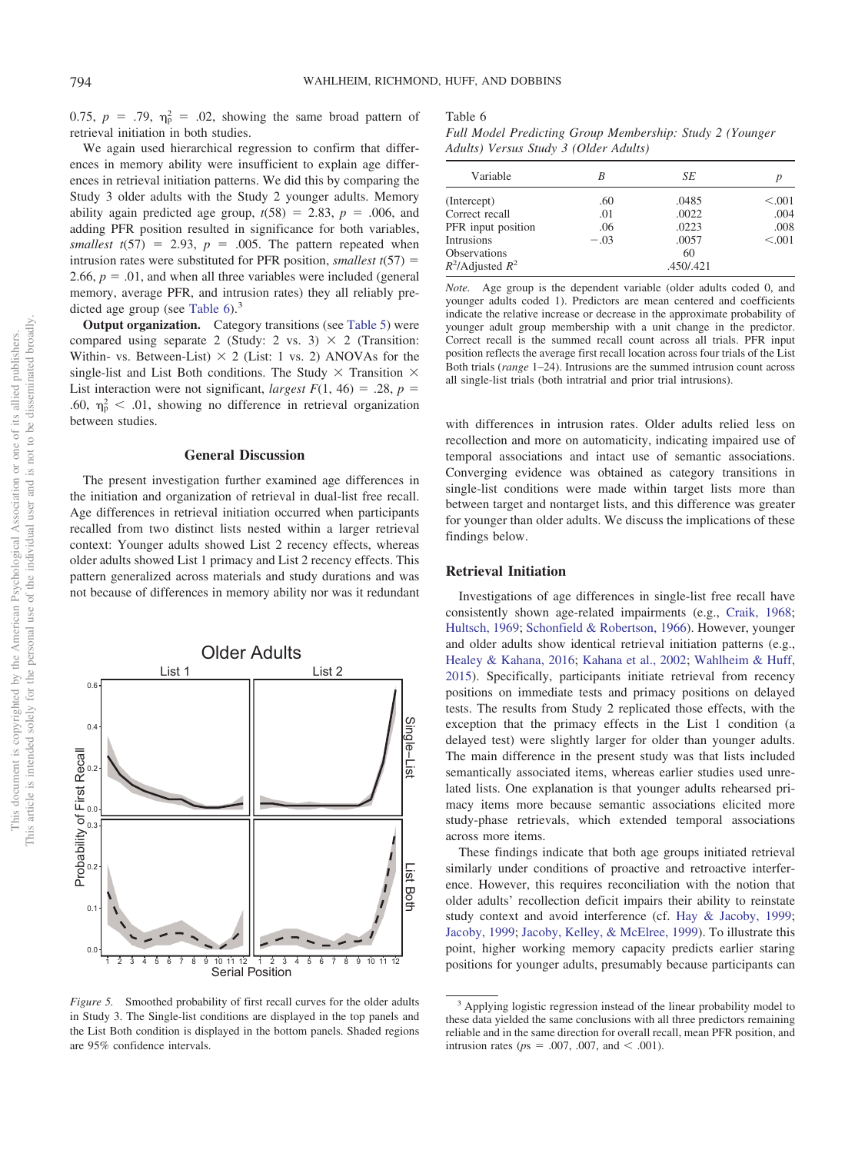This document is copyrighted by the American Psychological Association or one of its allied publishers. This article is intended solely for the personal use of the individual user and is not to be disseminated broadly.

This article is intended solely for the personal use of the individual user and is not to be disseminated broadly. This document is copyrighted by the American Psychological Association or one of its allied publishers.

0.75,  $p = .79$ ,  $\eta_p^2 = .02$ , showing the same broad pattern of retrieval initiation in both studies.

We again used hierarchical regression to confirm that differences in memory ability were insufficient to explain age differences in retrieval initiation patterns. We did this by comparing the Study 3 older adults with the Study 2 younger adults. Memory ability again predicted age group,  $t(58) = 2.83$ ,  $p = .006$ , and adding PFR position resulted in significance for both variables, *smallest*  $t(57) = 2.93$ ,  $p = .005$ . The pattern repeated when intrusion rates were substituted for PFR position,  $smallest t(57) =$ 2.66,  $p = 0.01$ , and when all three variables were included (general memory, average PFR, and intrusion rates) they all reliably predicted age group (see Table  $6$ ).<sup>3</sup>

**Output organization.** Category transitions (see [Table 5\)](#page-7-1) were compared using separate 2 (Study: 2 vs. 3)  $\times$  2 (Transition: Within- vs. Between-List)  $\times$  2 (List: 1 vs. 2) ANOVAs for the single-list and List Both conditions. The Study  $\times$  Transition  $\times$ List interaction were not significant, *largest F*(1, 46) = .28,  $p =$ .60,  $\eta_{\rm p}^2$  < .01, showing no difference in retrieval organization between studies.

## **General Discussion**

The present investigation further examined age differences in the initiation and organization of retrieval in dual-list free recall. Age differences in retrieval initiation occurred when participants recalled from two distinct lists nested within a larger retrieval context: Younger adults showed List 2 recency effects, whereas older adults showed List 1 primacy and List 2 recency effects. This pattern generalized across materials and study durations and was not because of differences in memory ability nor was it redundant



<span id="page-8-0"></span>*Figure 5.* Smoothed probability of first recall curves for the older adults in Study 3. The Single-list conditions are displayed in the top panels and the List Both condition is displayed in the bottom panels. Shaded regions are 95% confidence intervals.

#### <span id="page-8-1"></span>Table 6

*Full Model Predicting Group Membership: Study 2 (Younger Adults) Versus Study 3 (Older Adults)*

| Variable              | R      | SЕ        |         |
|-----------------------|--------|-----------|---------|
| (Intercept)           | .60    | .0485     | < 0.001 |
| Correct recall        | .01    | .0022     | .004    |
| PFR input position    | .06    | .0223     | .008    |
| Intrusions            | $-.03$ | .0057     | < 0.001 |
| Observations          |        | 60        |         |
| $R^2$ /Adjusted $R^2$ |        | .450/.421 |         |
|                       |        |           |         |

*Note.* Age group is the dependent variable (older adults coded 0, and younger adults coded 1). Predictors are mean centered and coefficients indicate the relative increase or decrease in the approximate probability of younger adult group membership with a unit change in the predictor. Correct recall is the summed recall count across all trials. PFR input position reflects the average first recall location across four trials of the List Both trials (*range* 1–24). Intrusions are the summed intrusion count across all single-list trials (both intratrial and prior trial intrusions).

with differences in intrusion rates. Older adults relied less on recollection and more on automaticity, indicating impaired use of temporal associations and intact use of semantic associations. Converging evidence was obtained as category transitions in single-list conditions were made within target lists more than between target and nontarget lists, and this difference was greater for younger than older adults. We discuss the implications of these findings below.

### **Retrieval Initiation**

Investigations of age differences in single-list free recall have consistently shown age-related impairments (e.g., [Craik, 1968;](#page-10-17) [Hultsch, 1969;](#page-10-18) [Schonfield & Robertson, 1966\)](#page-11-9). However, younger and older adults show identical retrieval initiation patterns (e.g., [Healey & Kahana, 2016;](#page-10-19) [Kahana et al., 2002;](#page-10-8) [Wahlheim & Huff,](#page-11-0) [2015\)](#page-11-0). Specifically, participants initiate retrieval from recency positions on immediate tests and primacy positions on delayed tests. The results from Study 2 replicated those effects, with the exception that the primacy effects in the List 1 condition (a delayed test) were slightly larger for older than younger adults. The main difference in the present study was that lists included semantically associated items, whereas earlier studies used unrelated lists. One explanation is that younger adults rehearsed primacy items more because semantic associations elicited more study-phase retrievals, which extended temporal associations across more items.

These findings indicate that both age groups initiated retrieval similarly under conditions of proactive and retroactive interference. However, this requires reconciliation with the notion that older adults' recollection deficit impairs their ability to reinstate study context and avoid interference (cf. [Hay & Jacoby, 1999;](#page-10-20) [Jacoby, 1999;](#page-10-21) [Jacoby, Kelley, & McElree, 1999\)](#page-10-22). To illustrate this point, higher working memory capacity predicts earlier staring positions for younger adults, presumably because participants can

<sup>&</sup>lt;sup>3</sup> Applying logistic regression instead of the linear probability model to these data yielded the same conclusions with all three predictors remaining reliable and in the same direction for overall recall, mean PFR position, and intrusion rates ( $ps = .007, .007,$  and  $\leq .001$ ).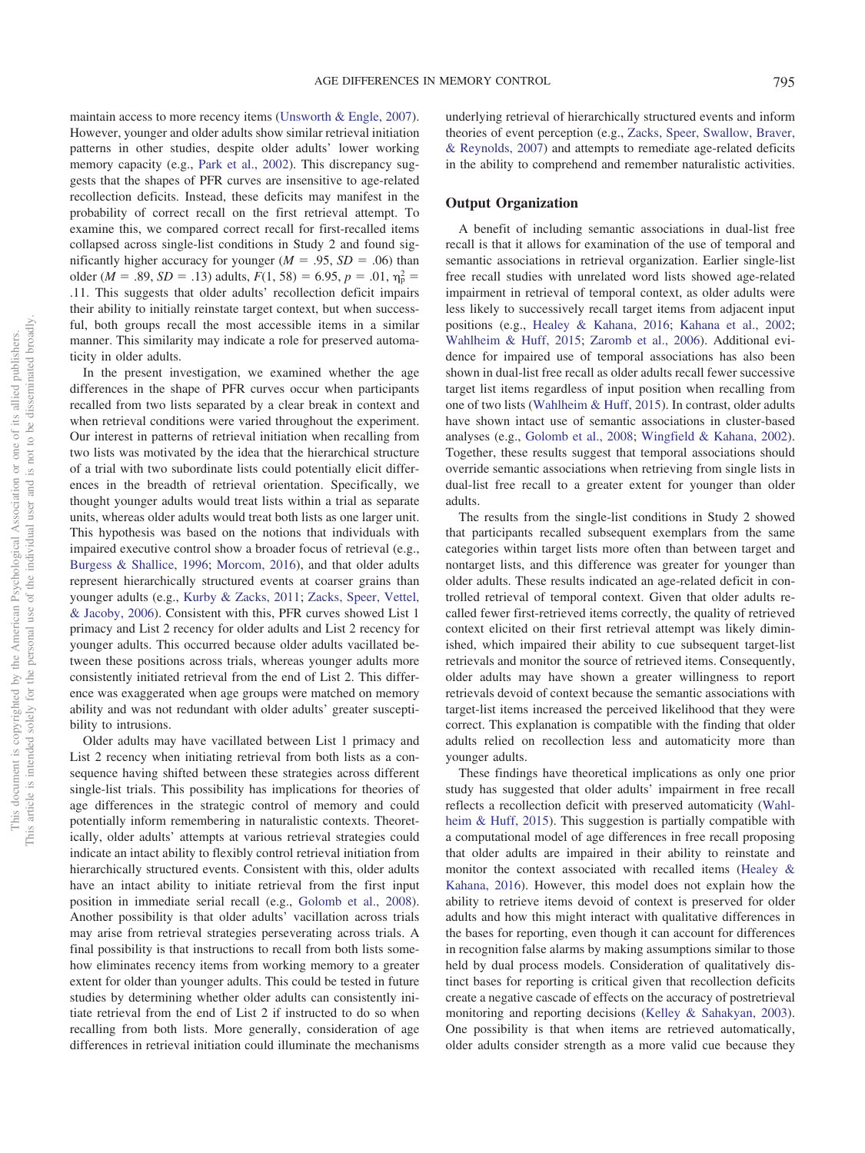maintain access to more recency items [\(Unsworth & Engle, 2007\)](#page-11-4). However, younger and older adults show similar retrieval initiation patterns in other studies, despite older adults' lower working memory capacity (e.g., [Park et al., 2002\)](#page-11-10). This discrepancy suggests that the shapes of PFR curves are insensitive to age-related recollection deficits. Instead, these deficits may manifest in the probability of correct recall on the first retrieval attempt. To examine this, we compared correct recall for first-recalled items collapsed across single-list conditions in Study 2 and found significantly higher accuracy for younger  $(M = .95, SD = .06)$  than older (*M* = .89, *SD* = .13) adults,  $F(1, 58) = 6.95$ ,  $p = .01$ ,  $\eta_p^2 =$ .11. This suggests that older adults' recollection deficit impairs their ability to initially reinstate target context, but when successful, both groups recall the most accessible items in a similar manner. This similarity may indicate a role for preserved automaticity in older adults.

In the present investigation, we examined whether the age differences in the shape of PFR curves occur when participants recalled from two lists separated by a clear break in context and when retrieval conditions were varied throughout the experiment. Our interest in patterns of retrieval initiation when recalling from two lists was motivated by the idea that the hierarchical structure of a trial with two subordinate lists could potentially elicit differences in the breadth of retrieval orientation. Specifically, we thought younger adults would treat lists within a trial as separate units, whereas older adults would treat both lists as one larger unit. This hypothesis was based on the notions that individuals with impaired executive control show a broader focus of retrieval (e.g., [Burgess & Shallice, 1996;](#page-10-23) [Morcom, 2016\)](#page-11-11), and that older adults represent hierarchically structured events at coarser grains than younger adults (e.g., [Kurby & Zacks, 2011;](#page-10-24) [Zacks, Speer, Vettel,](#page-11-12) [& Jacoby, 2006\)](#page-11-12). Consistent with this, PFR curves showed List 1 primacy and List 2 recency for older adults and List 2 recency for younger adults. This occurred because older adults vacillated between these positions across trials, whereas younger adults more consistently initiated retrieval from the end of List 2. This difference was exaggerated when age groups were matched on memory ability and was not redundant with older adults' greater susceptibility to intrusions.

Older adults may have vacillated between List 1 primacy and List 2 recency when initiating retrieval from both lists as a consequence having shifted between these strategies across different single-list trials. This possibility has implications for theories of age differences in the strategic control of memory and could potentially inform remembering in naturalistic contexts. Theoretically, older adults' attempts at various retrieval strategies could indicate an intact ability to flexibly control retrieval initiation from hierarchically structured events. Consistent with this, older adults have an intact ability to initiate retrieval from the first input position in immediate serial recall (e.g., [Golomb et al., 2008\)](#page-10-14). Another possibility is that older adults' vacillation across trials may arise from retrieval strategies perseverating across trials. A final possibility is that instructions to recall from both lists somehow eliminates recency items from working memory to a greater extent for older than younger adults. This could be tested in future studies by determining whether older adults can consistently initiate retrieval from the end of List 2 if instructed to do so when recalling from both lists. More generally, consideration of age differences in retrieval initiation could illuminate the mechanisms

underlying retrieval of hierarchically structured events and inform theories of event perception (e.g., [Zacks, Speer, Swallow, Braver,](#page-11-13) [& Reynolds, 2007\)](#page-11-13) and attempts to remediate age-related deficits in the ability to comprehend and remember naturalistic activities.

# **Output Organization**

A benefit of including semantic associations in dual-list free recall is that it allows for examination of the use of temporal and semantic associations in retrieval organization. Earlier single-list free recall studies with unrelated word lists showed age-related impairment in retrieval of temporal context, as older adults were less likely to successively recall target items from adjacent input positions (e.g., [Healey & Kahana, 2016;](#page-10-19) [Kahana et al., 2002;](#page-10-8) [Wahlheim & Huff, 2015;](#page-11-0) [Zaromb et al., 2006\)](#page-11-14). Additional evidence for impaired use of temporal associations has also been shown in dual-list free recall as older adults recall fewer successive target list items regardless of input position when recalling from one of two lists [\(Wahlheim & Huff, 2015\)](#page-11-0). In contrast, older adults have shown intact use of semantic associations in cluster-based analyses (e.g., [Golomb et al., 2008;](#page-10-14) [Wingfield & Kahana, 2002\)](#page-11-15). Together, these results suggest that temporal associations should override semantic associations when retrieving from single lists in dual-list free recall to a greater extent for younger than older adults.

The results from the single-list conditions in Study 2 showed that participants recalled subsequent exemplars from the same categories within target lists more often than between target and nontarget lists, and this difference was greater for younger than older adults. These results indicated an age-related deficit in controlled retrieval of temporal context. Given that older adults recalled fewer first-retrieved items correctly, the quality of retrieved context elicited on their first retrieval attempt was likely diminished, which impaired their ability to cue subsequent target-list retrievals and monitor the source of retrieved items. Consequently, older adults may have shown a greater willingness to report retrievals devoid of context because the semantic associations with target-list items increased the perceived likelihood that they were correct. This explanation is compatible with the finding that older adults relied on recollection less and automaticity more than younger adults.

These findings have theoretical implications as only one prior study has suggested that older adults' impairment in free recall reflects a recollection deficit with preserved automaticity [\(Wahl](#page-11-0)[heim & Huff, 2015\)](#page-11-0). This suggestion is partially compatible with a computational model of age differences in free recall proposing that older adults are impaired in their ability to reinstate and monitor the context associated with recalled items [\(Healey &](#page-10-19) [Kahana, 2016\)](#page-10-19). However, this model does not explain how the ability to retrieve items devoid of context is preserved for older adults and how this might interact with qualitative differences in the bases for reporting, even though it can account for differences in recognition false alarms by making assumptions similar to those held by dual process models. Consideration of qualitatively distinct bases for reporting is critical given that recollection deficits create a negative cascade of effects on the accuracy of postretrieval monitoring and reporting decisions [\(Kelley & Sahakyan, 2003\)](#page-10-25). One possibility is that when items are retrieved automatically, older adults consider strength as a more valid cue because they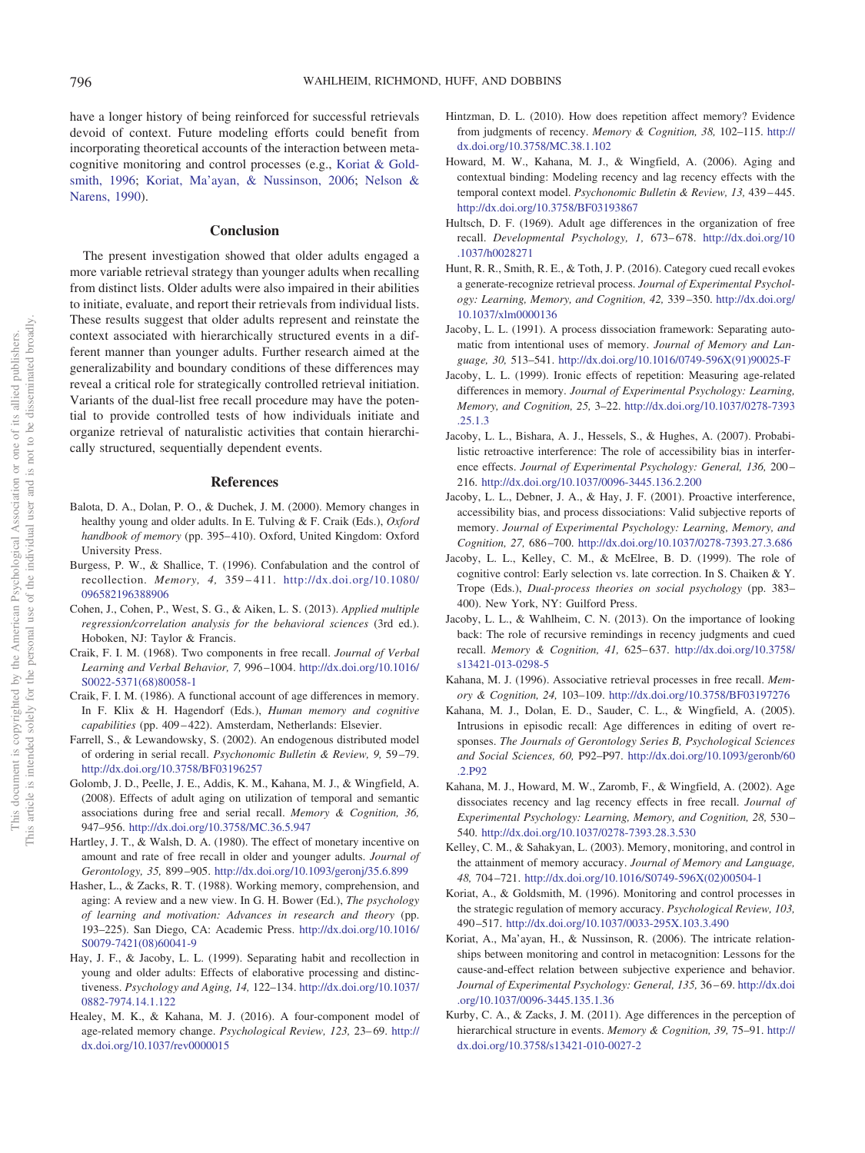have a longer history of being reinforced for successful retrievals devoid of context. Future modeling efforts could benefit from incorporating theoretical accounts of the interaction between metacognitive monitoring and control processes (e.g., [Koriat & Gold](#page-10-26)[smith, 1996;](#page-10-26) [Koriat, Ma'ayan, & Nussinson, 2006;](#page-10-27) [Nelson &](#page-11-16) [Narens, 1990\)](#page-11-16).

## **Conclusion**

The present investigation showed that older adults engaged a more variable retrieval strategy than younger adults when recalling from distinct lists. Older adults were also impaired in their abilities to initiate, evaluate, and report their retrievals from individual lists. These results suggest that older adults represent and reinstate the context associated with hierarchically structured events in a different manner than younger adults. Further research aimed at the generalizability and boundary conditions of these differences may reveal a critical role for strategically controlled retrieval initiation. Variants of the dual-list free recall procedure may have the potential to provide controlled tests of how individuals initiate and organize retrieval of naturalistic activities that contain hierarchically structured, sequentially dependent events.

#### **References**

- <span id="page-10-0"></span>Balota, D. A., Dolan, P. O., & Duchek, J. M. (2000). Memory changes in healthy young and older adults. In E. Tulving & F. Craik (Eds.), *Oxford handbook of memory* (pp. 395– 410). Oxford, United Kingdom: Oxford University Press.
- <span id="page-10-23"></span>Burgess, P. W., & Shallice, T. (1996). Confabulation and the control of recollection. *Memory, 4,* 359 – 411. [http://dx.doi.org/10.1080/](http://dx.doi.org/10.1080/096582196388906) [096582196388906](http://dx.doi.org/10.1080/096582196388906)
- <span id="page-10-15"></span>Cohen, J., Cohen, P., West, S. G., & Aiken, L. S. (2013). *Applied multiple regression/correlation analysis for the behavioral sciences* (3rd ed.). Hoboken, NJ: Taylor & Francis.
- <span id="page-10-17"></span>Craik, F. I. M. (1968). Two components in free recall. *Journal of Verbal Learning and Verbal Behavior, 7,* 996 –1004. [http://dx.doi.org/10.1016/](http://dx.doi.org/10.1016/S0022-5371%2868%2980058-1) [S0022-5371\(68\)80058-1](http://dx.doi.org/10.1016/S0022-5371%2868%2980058-1)
- <span id="page-10-1"></span>Craik, F. I. M. (1986). A functional account of age differences in memory. In F. Klix & H. Hagendorf (Eds.), *Human memory and cognitive capabilities* (pp. 409 – 422). Amsterdam, Netherlands: Elsevier.
- <span id="page-10-9"></span>Farrell, S., & Lewandowsky, S. (2002). An endogenous distributed model of ordering in serial recall. *Psychonomic Bulletin & Review, 9,* 59 –79. <http://dx.doi.org/10.3758/BF03196257>
- <span id="page-10-14"></span>Golomb, J. D., Peelle, J. E., Addis, K. M., Kahana, M. J., & Wingfield, A. (2008). Effects of adult aging on utilization of temporal and semantic associations during free and serial recall. *Memory & Cognition, 36,* 947–956. <http://dx.doi.org/10.3758/MC.36.5.947>
- <span id="page-10-4"></span>Hartley, J. T., & Walsh, D. A. (1980). The effect of monetary incentive on amount and rate of free recall in older and younger adults. *Journal of Gerontology, 35,* 899 –905. <http://dx.doi.org/10.1093/geronj/35.6.899>
- <span id="page-10-3"></span>Hasher, L., & Zacks, R. T. (1988). Working memory, comprehension, and aging: A review and a new view. In G. H. Bower (Ed.), *The psychology of learning and motivation: Advances in research and theory* (pp. 193–225). San Diego, CA: Academic Press. [http://dx.doi.org/10.1016/](http://dx.doi.org/10.1016/S0079-7421%2808%2960041-9) [S0079-7421\(08\)60041-9](http://dx.doi.org/10.1016/S0079-7421%2808%2960041-9)
- <span id="page-10-20"></span>Hay, J. F., & Jacoby, L. L. (1999). Separating habit and recollection in young and older adults: Effects of elaborative processing and distinctiveness. *Psychology and Aging, 14,* 122–134. [http://dx.doi.org/10.1037/](http://dx.doi.org/10.1037/0882-7974.14.1.122) [0882-7974.14.1.122](http://dx.doi.org/10.1037/0882-7974.14.1.122)
- <span id="page-10-19"></span>Healey, M. K., & Kahana, M. J. (2016). A four-component model of age-related memory change. *Psychological Review, 123,* 23– 69. [http://](http://dx.doi.org/10.1037/rev0000015) [dx.doi.org/10.1037/rev0000015](http://dx.doi.org/10.1037/rev0000015)
- <span id="page-10-10"></span>Hintzman, D. L. (2010). How does repetition affect memory? Evidence from judgments of recency. *Memory & Cognition, 38,* 102–115. [http://](http://dx.doi.org/10.3758/MC.38.1.102) [dx.doi.org/10.3758/MC.38.1.102](http://dx.doi.org/10.3758/MC.38.1.102)
- <span id="page-10-7"></span>Howard, M. W., Kahana, M. J., & Wingfield, A. (2006). Aging and contextual binding: Modeling recency and lag recency effects with the temporal context model. *Psychonomic Bulletin & Review, 13,* 439 – 445. <http://dx.doi.org/10.3758/BF03193867>
- <span id="page-10-18"></span>Hultsch, D. F. (1969). Adult age differences in the organization of free recall. *Developmental Psychology, 1, 673-678. [http://dx.doi.org/10](http://dx.doi.org/10.1037/h0028271)* [.1037/h0028271](http://dx.doi.org/10.1037/h0028271)
- <span id="page-10-16"></span>Hunt, R. R., Smith, R. E., & Toth, J. P. (2016). Category cued recall evokes a generate-recognize retrieval process. *Journal of Experimental Psychology: Learning, Memory, and Cognition, 42,* 339 –350. [http://dx.doi.org/](http://dx.doi.org/10.1037/xlm0000136) [10.1037/xlm0000136](http://dx.doi.org/10.1037/xlm0000136)
- <span id="page-10-6"></span>Jacoby, L. L. (1991). A process dissociation framework: Separating automatic from intentional uses of memory. *Journal of Memory and Language, 30,* 513–541. [http://dx.doi.org/10.1016/0749-596X\(91\)90025-F](http://dx.doi.org/10.1016/0749-596X%2891%2990025-F)
- <span id="page-10-21"></span>Jacoby, L. L. (1999). Ironic effects of repetition: Measuring age-related differences in memory. *Journal of Experimental Psychology: Learning, Memory, and Cognition, 25,* 3–22. [http://dx.doi.org/10.1037/0278-7393](http://dx.doi.org/10.1037/0278-7393.25.1.3) [.25.1.3](http://dx.doi.org/10.1037/0278-7393.25.1.3)
- <span id="page-10-13"></span>Jacoby, L. L., Bishara, A. J., Hessels, S., & Hughes, A. (2007). Probabilistic retroactive interference: The role of accessibility bias in interference effects. *Journal of Experimental Psychology: General, 136,* 200 – 216. <http://dx.doi.org/10.1037/0096-3445.136.2.200>
- <span id="page-10-12"></span>Jacoby, L. L., Debner, J. A., & Hay, J. F. (2001). Proactive interference, accessibility bias, and process dissociations: Valid subjective reports of memory. *Journal of Experimental Psychology: Learning, Memory, and Cognition, 27,* 686 –700. <http://dx.doi.org/10.1037/0278-7393.27.3.686>
- <span id="page-10-22"></span>Jacoby, L. L., Kelley, C. M., & McElree, B. D. (1999). The role of cognitive control: Early selection vs. late correction. In S. Chaiken & Y. Trope (Eds.), *Dual-process theories on social psychology* (pp. 383– 400). New York, NY: Guilford Press.
- <span id="page-10-11"></span>Jacoby, L. L., & Wahlheim, C. N. (2013). On the importance of looking back: The role of recursive remindings in recency judgments and cued recall. *Memory & Cognition, 41,* 625– 637. [http://dx.doi.org/10.3758/](http://dx.doi.org/10.3758/s13421-013-0298-5) [s13421-013-0298-5](http://dx.doi.org/10.3758/s13421-013-0298-5)
- <span id="page-10-2"></span>Kahana, M. J. (1996). Associative retrieval processes in free recall. *Memory & Cognition, 24,* 103–109. <http://dx.doi.org/10.3758/BF03197276>
- <span id="page-10-5"></span>Kahana, M. J., Dolan, E. D., Sauder, C. L., & Wingfield, A. (2005). Intrusions in episodic recall: Age differences in editing of overt responses. *The Journals of Gerontology Series B, Psychological Sciences and Social Sciences, 60,* P92–P97. [http://dx.doi.org/10.1093/geronb/60](http://dx.doi.org/10.1093/geronb/60.2.P92) [.2.P92](http://dx.doi.org/10.1093/geronb/60.2.P92)
- <span id="page-10-8"></span>Kahana, M. J., Howard, M. W., Zaromb, F., & Wingfield, A. (2002). Age dissociates recency and lag recency effects in free recall. *Journal of Experimental Psychology: Learning, Memory, and Cognition, 28,* 530 – 540. <http://dx.doi.org/10.1037/0278-7393.28.3.530>
- <span id="page-10-25"></span>Kelley, C. M., & Sahakyan, L. (2003). Memory, monitoring, and control in the attainment of memory accuracy. *Journal of Memory and Language, 48,* 704 –721. [http://dx.doi.org/10.1016/S0749-596X\(02\)00504-1](http://dx.doi.org/10.1016/S0749-596X%2802%2900504-1)
- <span id="page-10-26"></span>Koriat, A., & Goldsmith, M. (1996). Monitoring and control processes in the strategic regulation of memory accuracy. *Psychological Review, 103,* 490 –517. <http://dx.doi.org/10.1037/0033-295X.103.3.490>
- <span id="page-10-27"></span>Koriat, A., Ma'ayan, H., & Nussinson, R. (2006). The intricate relationships between monitoring and control in metacognition: Lessons for the cause-and-effect relation between subjective experience and behavior. *Journal of Experimental Psychology: General, 135,* 36 – 69. [http://dx.doi](http://dx.doi.org/10.1037/0096-3445.135.1.36) [.org/10.1037/0096-3445.135.1.36](http://dx.doi.org/10.1037/0096-3445.135.1.36)
- <span id="page-10-24"></span>Kurby, C. A., & Zacks, J. M. (2011). Age differences in the perception of hierarchical structure in events. *Memory & Cognition, 39,* 75–91. [http://](http://dx.doi.org/10.3758/s13421-010-0027-2) [dx.doi.org/10.3758/s13421-010-0027-2](http://dx.doi.org/10.3758/s13421-010-0027-2)